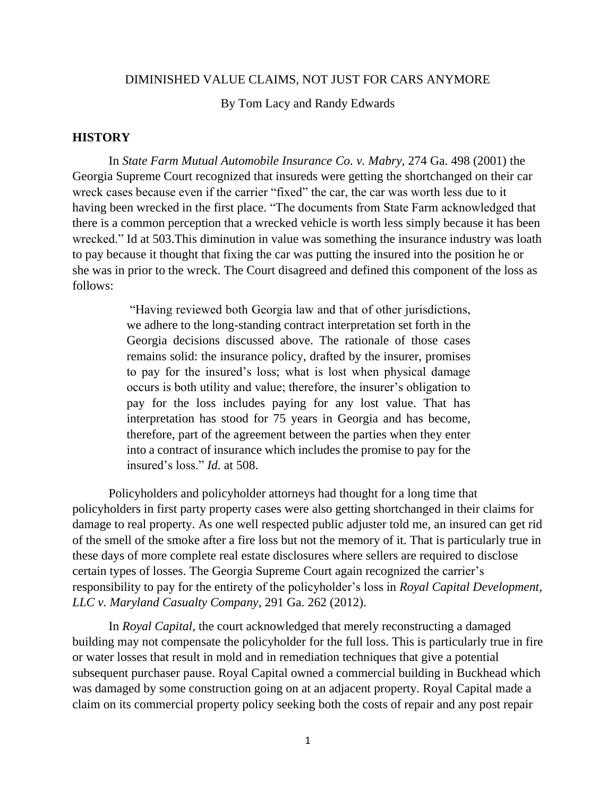## DIMINISHED VALUE CLAIMS, NOT JUST FOR CARS ANYMORE

By Tom Lacy and Randy Edwards

## **HISTORY**

In *State Farm Mutual Automobile Insurance Co. v. Mabry,* 274 Ga. 498 (2001) the Georgia Supreme Court recognized that insureds were getting the shortchanged on their car wreck cases because even if the carrier "fixed" the car, the car was worth less due to it having been wrecked in the first place. "The documents from State Farm acknowledged that there is a common perception that a wrecked vehicle is worth less simply because it has been wrecked." Id at 503.This diminution in value was something the insurance industry was loath to pay because it thought that fixing the car was putting the insured into the position he or she was in prior to the wreck. The Court disagreed and defined this component of the loss as follows:

> "Having reviewed both Georgia law and that of other jurisdictions, we adhere to the long-standing contract interpretation set forth in the Georgia decisions discussed above. The rationale of those cases remains solid: the insurance policy, drafted by the insurer, promises to pay for the insured's loss; what is lost when physical damage occurs is both utility and value; therefore, the insurer's obligation to pay for the loss includes paying for any lost value. That has interpretation has stood for 75 years in Georgia and has become, therefore, part of the agreement between the parties when they enter into a contract of insurance which includes the promise to pay for the insured's loss." *Id.* at 508.

Policyholders and policyholder attorneys had thought for a long time that policyholders in first party property cases were also getting shortchanged in their claims for damage to real property. As one well respected public adjuster told me, an insured can get rid of the smell of the smoke after a fire loss but not the memory of it. That is particularly true in these days of more complete real estate disclosures where sellers are required to disclose certain types of losses. The Georgia Supreme Court again recognized the carrier's responsibility to pay for the entirety of the policyholder's loss in *Royal Capital Development, LLC v. Maryland Casualty Company*, 291 Ga. 262 (2012).

In *Royal Capital*, the court acknowledged that merely reconstructing a damaged building may not compensate the policyholder for the full loss. This is particularly true in fire or water losses that result in mold and in remediation techniques that give a potential subsequent purchaser pause. Royal Capital owned a commercial building in Buckhead which was damaged by some construction going on at an adjacent property. Royal Capital made a claim on its commercial property policy seeking both the costs of repair and any post repair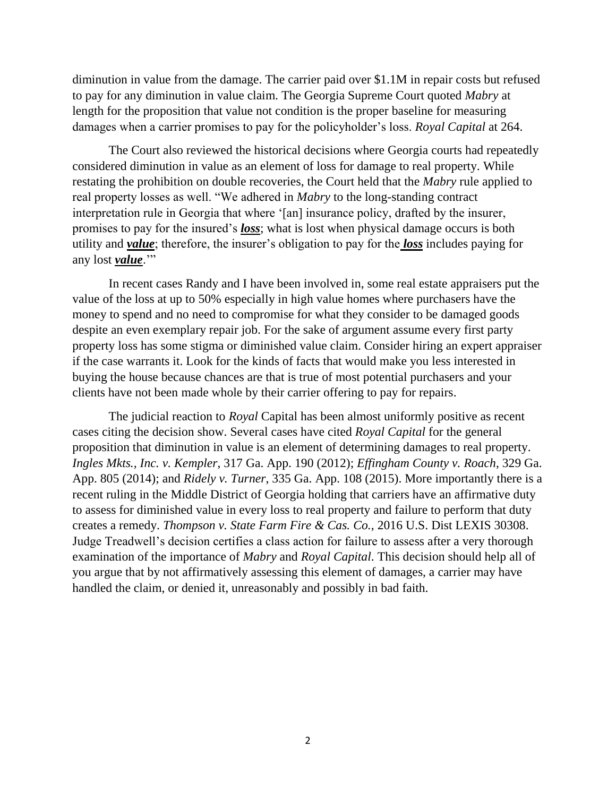diminution in value from the damage. The carrier paid over \$1.1M in repair costs but refused to pay for any diminution in value claim. The Georgia Supreme Court quoted *Mabry* at length for the proposition that value not condition is the proper baseline for measuring damages when a carrier promises to pay for the policyholder's loss. *Royal Capital* at 264.

The Court also reviewed the historical decisions where Georgia courts had repeatedly considered diminution in value as an element of loss for damage to real property. While restating the prohibition on double recoveries, the Court held that the *Mabry* rule applied to real property losses as well. "We adhered in *Mabry* to the long-standing contract interpretation rule in Georgia that where '[an] insurance policy, drafted by the insurer, promises to pay for the insured's *loss*; what is lost when physical damage occurs is both utility and *value*; therefore, the insurer's obligation to pay for the *loss* includes paying for any lost *value*."

In recent cases Randy and I have been involved in, some real estate appraisers put the value of the loss at up to 50% especially in high value homes where purchasers have the money to spend and no need to compromise for what they consider to be damaged goods despite an even exemplary repair job. For the sake of argument assume every first party property loss has some stigma or diminished value claim. Consider hiring an expert appraiser if the case warrants it. Look for the kinds of facts that would make you less interested in buying the house because chances are that is true of most potential purchasers and your clients have not been made whole by their carrier offering to pay for repairs.

The judicial reaction to *Royal* Capital has been almost uniformly positive as recent cases citing the decision show. Several cases have cited *Royal Capital* for the general proposition that diminution in value is an element of determining damages to real property. *Ingles Mkts., Inc. v. Kempler*, 317 Ga. App. 190 (2012); *Effingham County v. Roach*, 329 Ga. App. 805 (2014); and *Ridely v. Turner*, 335 Ga. App. 108 (2015). More importantly there is a recent ruling in the Middle District of Georgia holding that carriers have an affirmative duty to assess for diminished value in every loss to real property and failure to perform that duty creates a remedy. *Thompson v. State Farm Fire & Cas. Co.*, 2016 U.S. Dist LEXIS 30308. Judge Treadwell's decision certifies a class action for failure to assess after a very thorough examination of the importance of *Mabry* and *Royal Capital*. This decision should help all of you argue that by not affirmatively assessing this element of damages, a carrier may have handled the claim, or denied it, unreasonably and possibly in bad faith.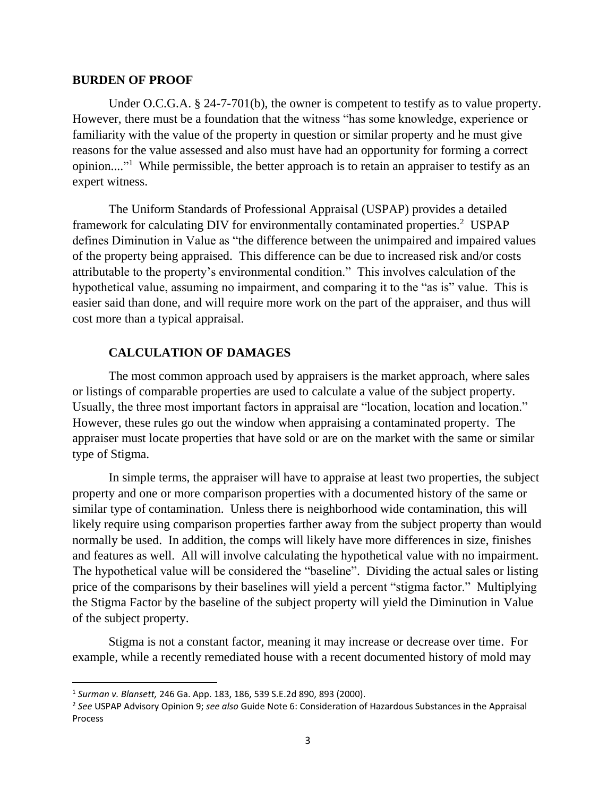### **BURDEN OF PROOF**

Under O.C.G.A. § 24-7-701(b), the owner is competent to testify as to value property. However, there must be a foundation that the witness "has some knowledge, experience or familiarity with the value of the property in question or similar property and he must give reasons for the value assessed and also must have had an opportunity for forming a correct opinion...."<sup>1</sup> While permissible, the better approach is to retain an appraiser to testify as an expert witness.

The Uniform Standards of Professional Appraisal (USPAP) provides a detailed framework for calculating DIV for environmentally contaminated properties.<sup>2</sup> USPAP defines Diminution in Value as "the difference between the unimpaired and impaired values of the property being appraised. This difference can be due to increased risk and/or costs attributable to the property's environmental condition." This involves calculation of the hypothetical value, assuming no impairment, and comparing it to the "as is" value. This is easier said than done, and will require more work on the part of the appraiser, and thus will cost more than a typical appraisal.

# **CALCULATION OF DAMAGES**

The most common approach used by appraisers is the market approach, where sales or listings of comparable properties are used to calculate a value of the subject property. Usually, the three most important factors in appraisal are "location, location and location." However, these rules go out the window when appraising a contaminated property. The appraiser must locate properties that have sold or are on the market with the same or similar type of Stigma.

In simple terms, the appraiser will have to appraise at least two properties, the subject property and one or more comparison properties with a documented history of the same or similar type of contamination. Unless there is neighborhood wide contamination, this will likely require using comparison properties farther away from the subject property than would normally be used. In addition, the comps will likely have more differences in size, finishes and features as well. All will involve calculating the hypothetical value with no impairment. The hypothetical value will be considered the "baseline". Dividing the actual sales or listing price of the comparisons by their baselines will yield a percent "stigma factor." Multiplying the Stigma Factor by the baseline of the subject property will yield the Diminution in Value of the subject property.

Stigma is not a constant factor, meaning it may increase or decrease over time. For example, while a recently remediated house with a recent documented history of mold may

 $\overline{a}$ 

<sup>1</sup> *Surman v. Blansett,* 246 Ga. App. 183, 186, 539 S.E.2d 890, 893 (2000).

<sup>2</sup> *See* USPAP Advisory Opinion 9; *see also* Guide Note 6: Consideration of Hazardous Substances in the Appraisal Process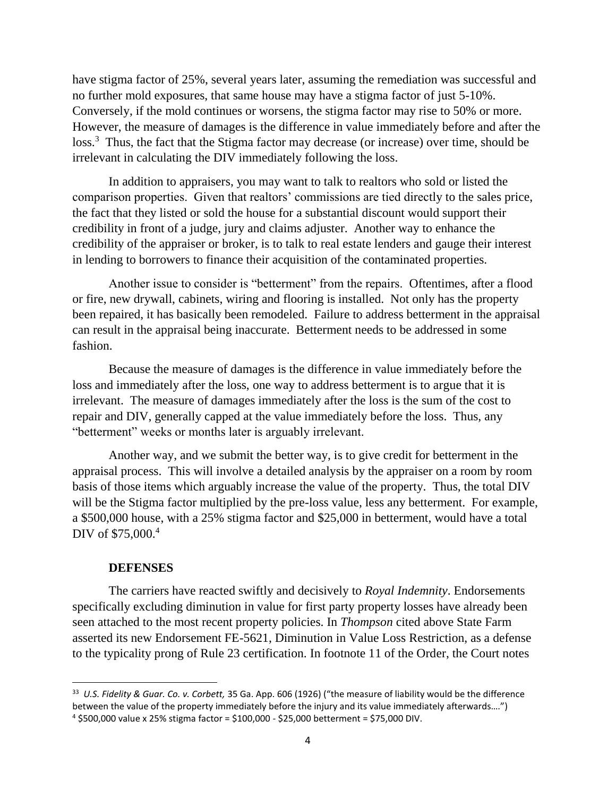have stigma factor of 25%, several years later, assuming the remediation was successful and no further mold exposures, that same house may have a stigma factor of just 5-10%. Conversely, if the mold continues or worsens, the stigma factor may rise to 50% or more. However, the measure of damages is the difference in value immediately before and after the loss.<sup>3</sup> Thus, the fact that the Stigma factor may decrease (or increase) over time, should be irrelevant in calculating the DIV immediately following the loss.

In addition to appraisers, you may want to talk to realtors who sold or listed the comparison properties. Given that realtors' commissions are tied directly to the sales price, the fact that they listed or sold the house for a substantial discount would support their credibility in front of a judge, jury and claims adjuster. Another way to enhance the credibility of the appraiser or broker, is to talk to real estate lenders and gauge their interest in lending to borrowers to finance their acquisition of the contaminated properties.

Another issue to consider is "betterment" from the repairs. Oftentimes, after a flood or fire, new drywall, cabinets, wiring and flooring is installed. Not only has the property been repaired, it has basically been remodeled. Failure to address betterment in the appraisal can result in the appraisal being inaccurate. Betterment needs to be addressed in some fashion.

Because the measure of damages is the difference in value immediately before the loss and immediately after the loss, one way to address betterment is to argue that it is irrelevant. The measure of damages immediately after the loss is the sum of the cost to repair and DIV, generally capped at the value immediately before the loss. Thus, any "betterment" weeks or months later is arguably irrelevant.

Another way, and we submit the better way, is to give credit for betterment in the appraisal process. This will involve a detailed analysis by the appraiser on a room by room basis of those items which arguably increase the value of the property. Thus, the total DIV will be the Stigma factor multiplied by the pre-loss value, less any betterment. For example, a \$500,000 house, with a 25% stigma factor and \$25,000 in betterment, would have a total DIV of \$75,000.<sup>4</sup>

# **DEFENSES**

 $\overline{a}$ 

The carriers have reacted swiftly and decisively to *Royal Indemnity*. Endorsements specifically excluding diminution in value for first party property losses have already been seen attached to the most recent property policies. In *Thompson* cited above State Farm asserted its new Endorsement FE-5621, Diminution in Value Loss Restriction, as a defense to the typicality prong of Rule 23 certification. In footnote 11 of the Order, the Court notes

<sup>33</sup> *U.S. Fidelity & Guar. Co. v. Corbett,* 35 Ga. App. 606 (1926) ("the measure of liability would be the difference between the value of the property immediately before the injury and its value immediately afterwards….")  $4$  \$500,000 value x 25% stigma factor = \$100,000 - \$25,000 betterment = \$75,000 DIV.